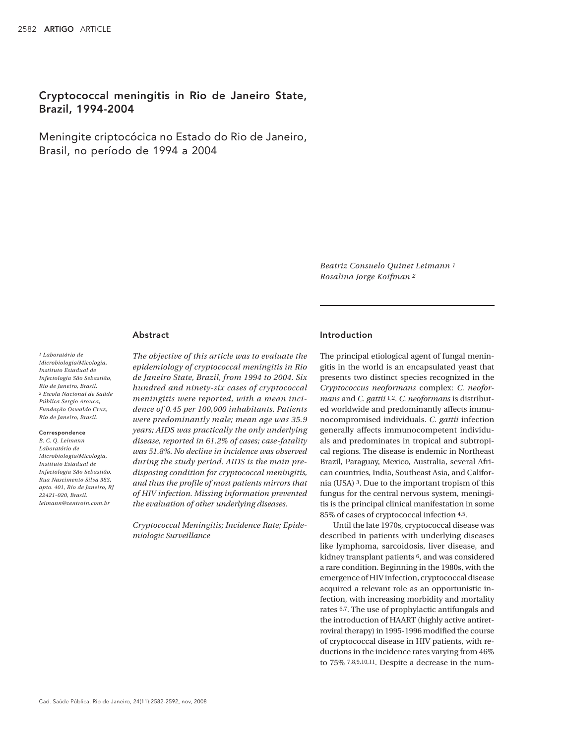# Cryptococcal meningitis in Rio de Janeiro State, Brazil, 1994-2004

Meningite criptocócica no Estado do Rio de Janeiro, Brasil, no período de 1994 a 2004

> *Beatriz Consuelo Quinet Leimann 1 Rosalina Jorge Koifman 2*

# Abstract

#### *1 Laboratório de*

*Microbiologia/Micologia, Instituto Estadual de Infectologia São Sebastião, Rio de Janeiro, Brasil. 2 Escola Nacional de Saúde Pública Sergio Arouca, Fundação Oswaldo Cruz, Rio de Janeiro, Brasil.*

#### Correspondence

*B. C. Q. Leimann Laboratório de Microbiologia/Micologia, Instituto Estadual de Infectologia São Sebastião. Rua Nascimento Silva 383, apto. 401, Rio de Janeiro, RJ 22421-020, Brasil. leimann@centroin.com.br*

*The objective of this article was to evaluate the epidemiology of cryptococcal meningitis in Rio de Janeiro State, Brazil, from 1994 to 2004. Six hundred and ninety-six cases of cryptococcal meningitis were reported, with a mean incidence of 0.45 per 100,000 inhabitants. Patients were predominantly male; mean age was 35.9 years; AIDS was practically the only underlying disease, reported in 61.2% of cases; case-fatality was 51.8%. No decline in incidence was observed during the study period. AIDS is the main predisposing condition for cryptococcal meningitis, and thus the profile of most patients mirrors that of HIV infection. Missing information prevented the evaluation of other underlying diseases.*

*Cryptococcal Meningitis; Incidence Rate; Epidemiologic Surveillance*

# Introduction

The principal etiological agent of fungal meningitis in the world is an encapsulated yeast that presents two distinct species recognized in the *Cryptococcus neoformans* complex: *C. neoformans* and *C. gattii* 1,2. *C. neoformans* is distributed worldwide and predominantly affects immunocompromised individuals. *C. gattii* infection generally affects immunocompetent individuals and predominates in tropical and subtropical regions. The disease is endemic in Northeast Brazil, Paraguay, Mexico, Australia, several African countries, India, Southeast Asia, and California (USA) 3. Due to the important tropism of this fungus for the central nervous system, meningitis is the principal clinical manifestation in some 85% of cases of cryptococcal infection 4,5.

Until the late 1970s, cryptococcal disease was described in patients with underlying diseases like lymphoma, sarcoidosis, liver disease, and kidney transplant patients 6, and was considered a rare condition. Beginning in the 1980s, with the emergence of HIV infection, cryptococcal disease acquired a relevant role as an opportunistic infection, with increasing morbidity and mortality rates 6,7. The use of prophylactic antifungals and the introduction of HAART (highly active antiretroviral therapy) in 1995-1996 modified the course of cryptococcal disease in HIV patients, with reductions in the incidence rates varying from 46% to 75% 7,8,9,10,11. Despite a decrease in the num-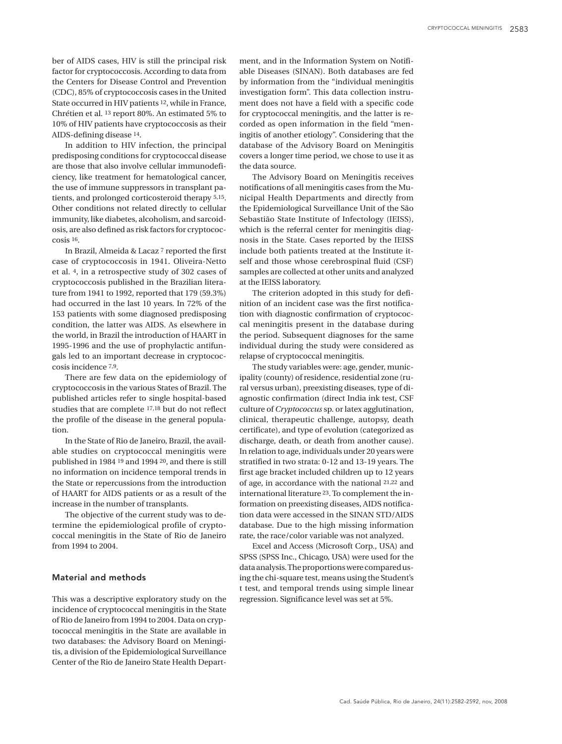ber of AIDS cases, HIV is still the principal risk factor for cryptococcosis. According to data from the Centers for Disease Control and Prevention (CDC), 85% of cryptococcosis cases in the United State occurred in HIV patients 12, while in France, Chrétien et al. 13 report 80%. An estimated 5% to 10% of HIV patients have cryptococcosis as their AIDS-defining disease 14.

In addition to HIV infection, the principal predisposing conditions for cryptococcal disease are those that also involve cellular immunodeficiency, like treatment for hematological cancer, the use of immune suppressors in transplant patients, and prolonged corticosteroid therapy 5,15. Other conditions not related directly to cellular immunity, like diabetes, alcoholism, and sarcoidosis, are also defined as risk factors for cryptococcosis 16.

In Brazil, Almeida & Lacaz 7 reported the first case of cryptococcosis in 1941. Oliveira-Netto et al. 4, in a retrospective study of 302 cases of cryptococcosis published in the Brazilian literature from 1941 to 1992, reported that 179 (59.3%) had occurred in the last 10 years. In 72% of the 153 patients with some diagnosed predisposing condition, the latter was AIDS. As elsewhere in the world, in Brazil the introduction of HAART in 1995-1996 and the use of prophylactic antifungals led to an important decrease in cryptococcosis incidence 7,9.

There are few data on the epidemiology of cryptococcosis in the various States of Brazil. The published articles refer to single hospital-based studies that are complete 17,18 but do not reflect the profile of the disease in the general population.

In the State of Rio de Janeiro, Brazil, the available studies on cryptococcal meningitis were published in 1984 19 and 1994 20, and there is still no information on incidence temporal trends in the State or repercussions from the introduction of HAART for AIDS patients or as a result of the increase in the number of transplants.

The objective of the current study was to determine the epidemiological profile of cryptococcal meningitis in the State of Rio de Janeiro from 1994 to 2004.

# Material and methods

This was a descriptive exploratory study on the incidence of cryptococcal meningitis in the State of Rio de Janeiro from 1994 to 2004. Data on cryptococcal meningitis in the State are available in two databases: the Advisory Board on Meningitis, a division of the Epidemiological Surveillance Center of the Rio de Janeiro State Health Depart-

ment, and in the Information System on Notifiable Diseases (SINAN). Both databases are fed by information from the "individual meningitis investigation form". This data collection instrument does not have a field with a specific code for cryptococcal meningitis, and the latter is recorded as open information in the field "meningitis of another etiology". Considering that the database of the Advisory Board on Meningitis covers a longer time period, we chose to use it as the data source.

The Advisory Board on Meningitis receives notifications of all meningitis cases from the Municipal Health Departments and directly from the Epidemiological Surveillance Unit of the São Sebastião State Institute of Infectology (IEISS), which is the referral center for meningitis diagnosis in the State. Cases reported by the IEISS include both patients treated at the Institute itself and those whose cerebrospinal fluid (CSF) samples are collected at other units and analyzed at the IEISS laboratory.

The criterion adopted in this study for definition of an incident case was the first notification with diagnostic confirmation of cryptococcal meningitis present in the database during the period. Subsequent diagnoses for the same individual during the study were considered as relapse of cryptococcal meningitis.

The study variables were: age, gender, municipality (county) of residence, residential zone (rural versus urban), preexisting diseases, type of diagnostic confirmation (direct India ink test, CSF culture of *Cryptococcus* sp. or latex agglutination, clinical, therapeutic challenge, autopsy, death certificate), and type of evolution (categorized as discharge, death, or death from another cause). In relation to age, individuals under 20 years were stratified in two strata: 0-12 and 13-19 years. The first age bracket included children up to 12 years of age, in accordance with the national 21,22 and international literature 23. To complement the information on preexisting diseases, AIDS notification data were accessed in the SINAN STD/AIDS database. Due to the high missing information rate, the race/color variable was not analyzed.

Excel and Access (Microsoft Corp., USA) and SPSS (SPSS Inc., Chicago, USA) were used for the data analysis. The proportions were compared using the chi-square test, means using the Student's t test, and temporal trends using simple linear regression. Significance level was set at 5%.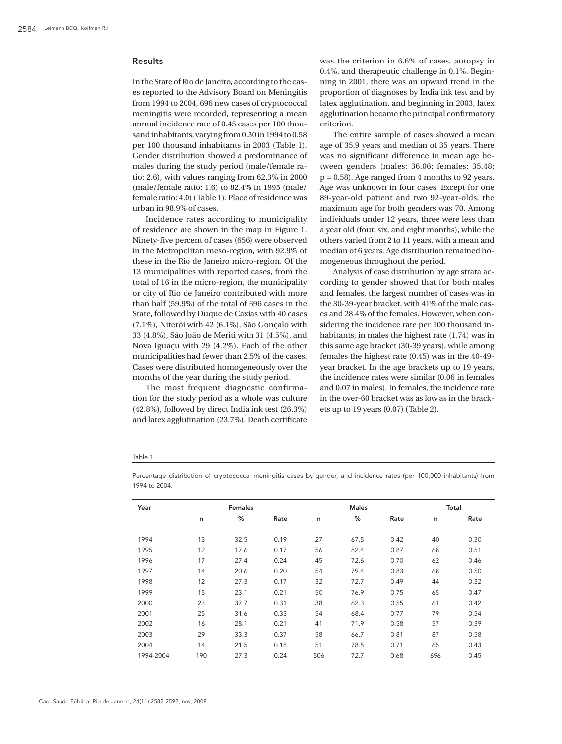# Results

In the State of Rio de Janeiro, according to the cases reported to the Advisory Board on Meningitis from 1994 to 2004, 696 new cases of cryptococcal meningitis were recorded, representing a mean annual incidence rate of 0.45 cases per 100 thousand inhabitants, varying from 0.30 in 1994 to 0.58 per 100 thousand inhabitants in 2003 (Table 1). Gender distribution showed a predominance of males during the study period (male/female ratio: 2.6), with values ranging from 62.3% in 2000 (male/female ratio: 1.6) to 82.4% in 1995 (male/ female ratio: 4.0) (Table 1). Place of residence was urban in 98.9% of cases.

Incidence rates according to municipality of residence are shown in the map in Figure 1. Ninety-five percent of cases (656) were observed in the Metropolitan meso-region, with 92.9% of these in the Rio de Janeiro micro-region. Of the 13 municipalities with reported cases, from the total of 16 in the micro-region, the municipality or city of Rio de Janeiro contributed with more than half (59.9%) of the total of 696 cases in the State, followed by Duque de Caxias with 40 cases (7.1%), Niterói with 42 (6.1%), São Gonçalo with 33 (4.8%), São João de Meriti with 31 (4.5%), and Nova Iguaçu with 29 (4.2%). Each of the other municipalities had fewer than 2.5% of the cases. Cases were distributed homogeneously over the months of the year during the study period.

The most frequent diagnostic confirmation for the study period as a whole was culture (42.8%), followed by direct India ink test (26.3%) and latex agglutination (23.7%). Death certificate

was the criterion in 6.6% of cases, autopsy in 0.4%, and therapeutic challenge in 0.1%. Beginning in 2001, there was an upward trend in the proportion of diagnoses by India ink test and by latex agglutination, and beginning in 2003, latex agglutination became the principal confirmatory criterion.

The entire sample of cases showed a mean age of 35.9 years and median of 35 years. There was no significant difference in mean age between genders (males: 36.06; females: 35.48; p = 0.58). Age ranged from 4 months to 92 years. Age was unknown in four cases. Except for one 89-year-old patient and two 92-year-olds, the maximum age for both genders was 70. Among individuals under 12 years, three were less than a year old (four, six, and eight months), while the others varied from 2 to 11 years, with a mean and median of 6 years. Age distribution remained homogeneous throughout the period.

Analysis of case distribution by age strata according to gender showed that for both males and females, the largest number of cases was in the 30-39-year bracket, with 41% of the male cases and 28.4% of the females. However, when considering the incidence rate per 100 thousand inhabitants, in males the highest rate (1.74) was in this same age bracket (30-39 years), while among females the highest rate (0.45) was in the 40-49 year bracket. In the age brackets up to 19 years, the incidence rates were similar (0.06 in females and 0.07 in males). In females, the incidence rate in the over-60 bracket was as low as in the brackets up to 19 years (0.07) (Table 2).

#### Table 1

| Year      | <b>Females</b> |      |      |     | <b>Males</b> | Total |     |      |
|-----------|----------------|------|------|-----|--------------|-------|-----|------|
|           | n              | %    | Rate | n   | %            | Rate  | n   | Rate |
| 1994      | 13             | 32.5 | 0.19 | 27  | 67.5         | 0.42  | 40  | 0.30 |
| 1995      | 12             | 17.6 | 0.17 | 56  | 82.4         | 0.87  | 68  | 0.51 |
| 1996      | 17             | 27.4 | 0.24 | 45  | 72.6         | 0.70  | 62  | 0.46 |
| 1997      | 14             | 20.6 | 0.20 | 54  | 79.4         | 0.83  | 68  | 0.50 |
| 1998      | 12             | 27.3 | 0.17 | 32  | 72.7         | 0.49  | 44  | 0.32 |
| 1999      | 15             | 23.1 | 0.21 | 50  | 76.9         | 0.75  | 65  | 0.47 |
| 2000      | 23             | 37.7 | 0.31 | 38  | 62.3         | 0.55  | 61  | 0.42 |
| 2001      | 25             | 31.6 | 0.33 | 54  | 68.4         | 0.77  | 79  | 0.54 |
| 2002      | 16             | 28.1 | 0.21 | 41  | 71.9         | 0.58  | 57  | 0.39 |
| 2003      | 29             | 33.3 | 0.37 | 58  | 66.7         | 0.81  | 87  | 0.58 |
| 2004      | 14             | 21.5 | 0.18 | 51  | 78.5         | 0.71  | 65  | 0.43 |
| 1994-2004 | 190            | 27.3 | 0.24 | 506 | 72.7         | 0.68  | 696 | 0.45 |

Percentage distribution of cryptococcal meningitis cases by gender, and incidence rates (per 100,000 inhabitants) from 1994 to 2004.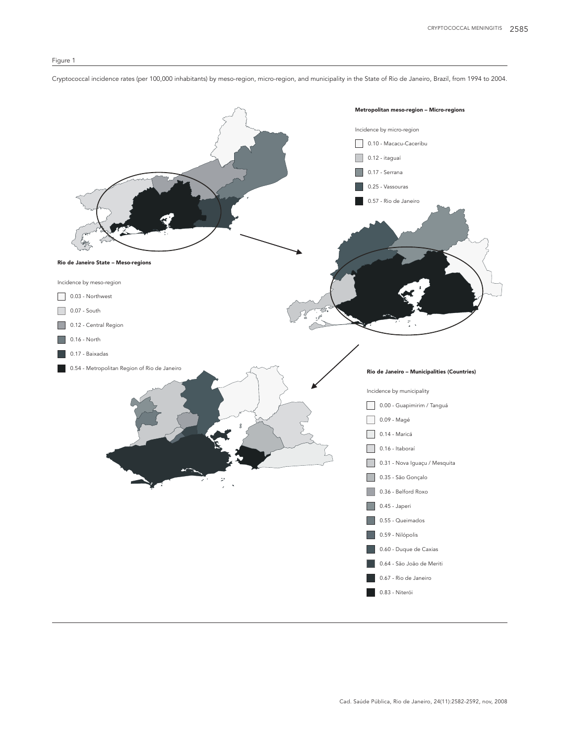Cryptococcal incidence rates (per 100,000 inhabitants) by meso-region, micro-region, and municipality in the State of Rio de Janeiro, Brazil, from 1994 to 2004.

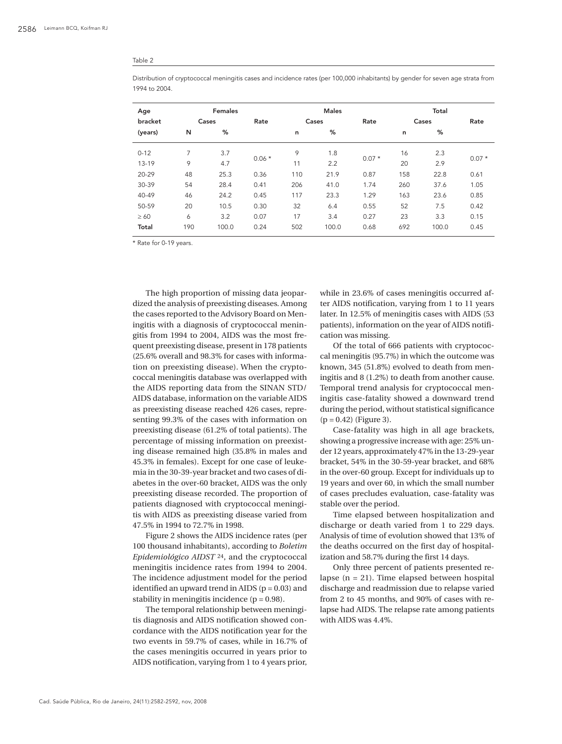#### Table 2

Distribution of cryptococcal meningitis cases and incidence rates (per 100,000 inhabitants) by gender for seven age strata from 1994 to 2004.

| Age       |     | <b>Females</b> |         |       | <b>Males</b> |         | Total |       |         |
|-----------|-----|----------------|---------|-------|--------------|---------|-------|-------|---------|
| bracket   |     | Cases          |         | Cases |              | Rate    | Cases |       | Rate    |
| (years)   | N   | %              |         | n     | %            |         | n     | %     |         |
| $0 - 12$  | 7   | 3.7            | $0.06*$ | 9     | 1.8          | $0.07*$ | 16    | 2.3   | $0.07*$ |
| $13 - 19$ | 9   | 4.7            |         | 11    | 2.2          |         | 20    | 2.9   |         |
| 20-29     | 48  | 25.3           | 0.36    | 110   | 21.9         | 0.87    | 158   | 22.8  | 0.61    |
| 30-39     | 54  | 28.4           | 0.41    | 206   | 41.0         | 1.74    | 260   | 37.6  | 1.05    |
| 40-49     | 46  | 24.2           | 0.45    | 117   | 23.3         | 1.29    | 163   | 23.6  | 0.85    |
| 50-59     | 20  | 10.5           | 0.30    | 32    | 6.4          | 0.55    | 52    | 7.5   | 0.42    |
| $\geq 60$ | 6   | 3.2            | 0.07    | 17    | 3.4          | 0.27    | 23    | 3.3   | 0.15    |
| Total     | 190 | 100.0          | 0.24    | 502   | 100.0        | 0.68    | 692   | 100.0 | 0.45    |

\* Rate for 0-19 years.

The high proportion of missing data jeopardized the analysis of preexisting diseases. Among the cases reported to the Advisory Board on Meningitis with a diagnosis of cryptococcal meningitis from 1994 to 2004, AIDS was the most frequent preexisting disease, present in 178 patients (25.6% overall and 98.3% for cases with information on preexisting disease). When the cryptococcal meningitis database was overlapped with the AIDS reporting data from the SINAN STD/ AIDS database, information on the variable AIDS as preexisting disease reached 426 cases, representing 99.3% of the cases with information on preexisting disease (61.2% of total patients). The percentage of missing information on preexisting disease remained high (35.8% in males and 45.3% in females). Except for one case of leukemia in the 30-39-year bracket and two cases of diabetes in the over-60 bracket, AIDS was the only preexisting disease recorded. The proportion of patients diagnosed with cryptococcal meningitis with AIDS as preexisting disease varied from 47.5% in 1994 to 72.7% in 1998.

Figure 2 shows the AIDS incidence rates (per 100 thousand inhabitants), according to *Boletim Epidemiológico AIDST* 24, and the cryptococcal meningitis incidence rates from 1994 to 2004. The incidence adjustment model for the period identified an upward trend in AIDS  $(p = 0.03)$  and stability in meningitis incidence  $(p = 0.98)$ .

The temporal relationship between meningitis diagnosis and AIDS notification showed concordance with the AIDS notification year for the two events in 59.7% of cases, while in 16.7% of the cases meningitis occurred in years prior to AIDS notification, varying from 1 to 4 years prior, while in 23.6% of cases meningitis occurred after AIDS notification, varying from 1 to 11 years later. In 12.5% of meningitis cases with AIDS (53 patients), information on the year of AIDS notification was missing.

Of the total of 666 patients with cryptococcal meningitis (95.7%) in which the outcome was known, 345 (51.8%) evolved to death from meningitis and 8 (1.2%) to death from another cause. Temporal trend analysis for cryptococcal meningitis case-fatality showed a downward trend during the period, without statistical significance  $(p = 0.42)$  (Figure 3).

Case-fatality was high in all age brackets, showing a progressive increase with age: 25% under 12 years, approximately 47% in the 13-29-year bracket, 54% in the 30-59-year bracket, and 68% in the over-60 group. Except for individuals up to 19 years and over 60, in which the small number of cases precludes evaluation, case-fatality was stable over the period.

Time elapsed between hospitalization and discharge or death varied from 1 to 229 days. Analysis of time of evolution showed that 13% of the deaths occurred on the first day of hospitalization and 58.7% during the first 14 days.

Only three percent of patients presented relapse  $(n = 21)$ . Time elapsed between hospital discharge and readmission due to relapse varied from 2 to 45 months, and 90% of cases with relapse had AIDS. The relapse rate among patients with AIDS was 4.4%.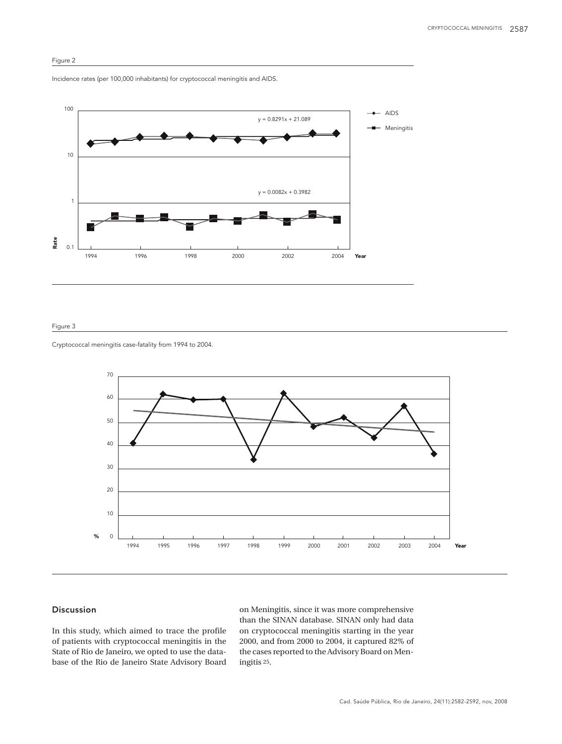

Incidence rates (per 100,000 inhabitants) for cryptococcal meningitis and AIDS.



# Figure 3

Cryptococcal meningitis case-fatality from 1994 to 2004.



# Discussion

In this study, which aimed to trace the profile of patients with cryptococcal meningitis in the State of Rio de Janeiro, we opted to use the database of the Rio de Janeiro State Advisory Board

on Meningitis, since it was more comprehensive than the SINAN database. SINAN only had data on cryptococcal meningitis starting in the year 2000, and from 2000 to 2004, it captured 82% of the cases reported to the Advisory Board on Meningitis 25.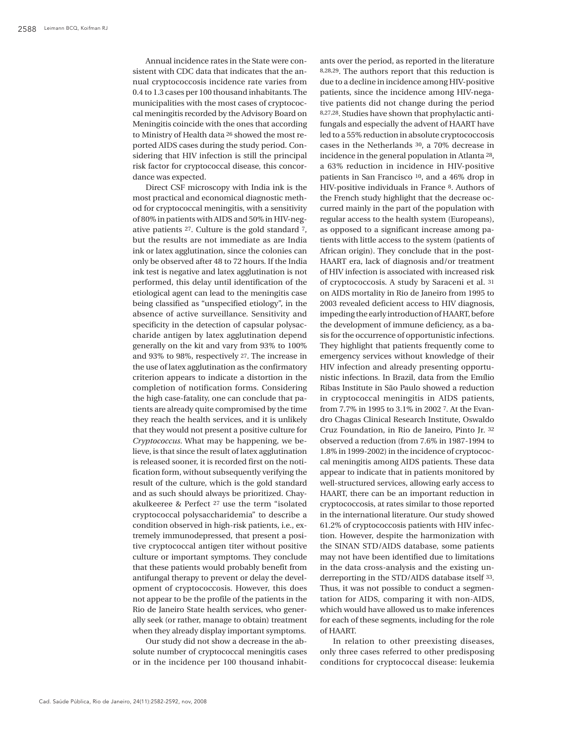Annual incidence rates in the State were consistent with CDC data that indicates that the annual cryptococcosis incidence rate varies from 0.4 to 1.3 cases per 100 thousand inhabitants. The municipalities with the most cases of cryptococcal meningitis recorded by the Advisory Board on Meningitis coincide with the ones that according to Ministry of Health data 26 showed the most reported AIDS cases during the study period. Considering that HIV infection is still the principal risk factor for cryptococcal disease, this concordance was expected.

Direct CSF microscopy with India ink is the most practical and economical diagnostic method for cryptococcal meningitis, with a sensitivity of 80% in patients with AIDS and 50% in HIV-negative patients 27. Culture is the gold standard 7, but the results are not immediate as are India ink or latex agglutination, since the colonies can only be observed after 48 to 72 hours. If the India ink test is negative and latex agglutination is not performed, this delay until identification of the etiological agent can lead to the meningitis case being classified as "unspecified etiology", in the absence of active surveillance. Sensitivity and specificity in the detection of capsular polysaccharide antigen by latex agglutination depend generally on the kit and vary from 93% to 100% and 93% to 98%, respectively 27. The increase in the use of latex agglutination as the confirmatory criterion appears to indicate a distortion in the completion of notification forms. Considering the high case-fatality, one can conclude that patients are already quite compromised by the time they reach the health services, and it is unlikely that they would not present a positive culture for *Cryptococcus*. What may be happening, we believe, is that since the result of latex agglutination is released sooner, it is recorded first on the notification form, without subsequently verifying the result of the culture, which is the gold standard and as such should always be prioritized. Chayakulkeeree & Perfect 27 use the term "isolated cryptococcal polysaccharidemia" to describe a condition observed in high-risk patients, i.e., extremely immunodepressed, that present a positive cryptococcal antigen titer without positive culture or important symptoms. They conclude that these patients would probably benefit from antifungal therapy to prevent or delay the development of cryptococcosis. However, this does not appear to be the profile of the patients in the Rio de Janeiro State health services, who generally seek (or rather, manage to obtain) treatment when they already display important symptoms.

Our study did not show a decrease in the absolute number of cryptococcal meningitis cases or in the incidence per 100 thousand inhabit-

ants over the period, as reported in the literature 8,28,29. The authors report that this reduction is due to a decline in incidence among HIV-positive patients, since the incidence among HIV-negative patients did not change during the period 8,27,28. Studies have shown that prophylactic antifungals and especially the advent of HAART have led to a 55% reduction in absolute cryptococcosis cases in the Netherlands 30, a 70% decrease in incidence in the general population in Atlanta 28, a 63% reduction in incidence in HIV-positive patients in San Francisco 10, and a 46% drop in HIV-positive individuals in France 8. Authors of the French study highlight that the decrease occurred mainly in the part of the population with regular access to the health system (Europeans), as opposed to a significant increase among patients with little access to the system (patients of African origin). They conclude that in the post-HAART era, lack of diagnosis and/or treatment of HIV infection is associated with increased risk of cryptococcosis. A study by Saraceni et al. 31 on AIDS mortality in Rio de Janeiro from 1995 to 2003 revealed deficient access to HIV diagnosis, impeding the early introduction of HAART, before the development of immune deficiency, as a basis for the occurrence of opportunistic infections. They highlight that patients frequently come to emergency services without knowledge of their HIV infection and already presenting opportunistic infections. In Brazil, data from the Emílio Ribas Institute in São Paulo showed a reduction in cryptococcal meningitis in AIDS patients, from 7.7% in 1995 to 3.1% in 2002 7. At the Evandro Chagas Clinical Research Institute, Oswaldo Cruz Foundation, in Rio de Janeiro, Pinto Jr. 32 observed a reduction (from 7.6% in 1987-1994 to 1.8% in 1999-2002) in the incidence of cryptococcal meningitis among AIDS patients. These data appear to indicate that in patients monitored by well-structured services, allowing early access to HAART, there can be an important reduction in cryptococcosis, at rates similar to those reported in the international literature. Our study showed 61.2% of cryptococcosis patients with HIV infection. However, despite the harmonization with the SINAN STD/AIDS database, some patients may not have been identified due to limitations in the data cross-analysis and the existing underreporting in the STD/AIDS database itself 33. Thus, it was not possible to conduct a segmentation for AIDS, comparing it with non-AIDS, which would have allowed us to make inferences for each of these segments, including for the role of HAART.

In relation to other preexisting diseases, only three cases referred to other predisposing conditions for cryptococcal disease: leukemia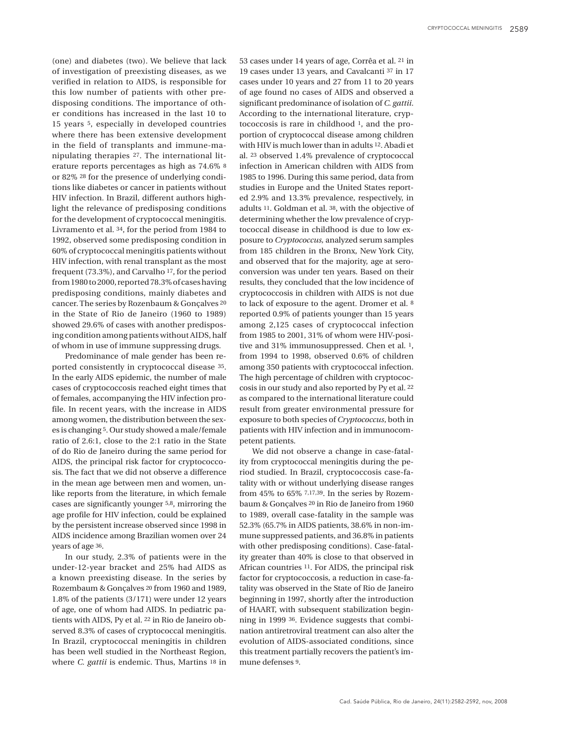(one) and diabetes (two). We believe that lack of investigation of preexisting diseases, as we verified in relation to AIDS, is responsible for this low number of patients with other predisposing conditions. The importance of other conditions has increased in the last 10 to 15 years 5, especially in developed countries where there has been extensive development in the field of transplants and immune-manipulating therapies 27. The international literature reports percentages as high as 74.6% 8 or 82% 28 for the presence of underlying conditions like diabetes or cancer in patients without HIV infection. In Brazil, different authors highlight the relevance of predisposing conditions for the development of cryptococcal meningitis. Livramento et al. 34, for the period from 1984 to 1992, observed some predisposing condition in 60% of cryptococcal meningitis patients without HIV infection, with renal transplant as the most frequent (73.3%), and Carvalho 17, for the period from 1980 to 2000, reported 78.3% of cases having predisposing conditions, mainly diabetes and cancer. The series by Rozenbaum & Gonçalves 20 in the State of Rio de Janeiro (1960 to 1989) showed 29.6% of cases with another predisposing condition among patients without AIDS, half of whom in use of immune suppressing drugs.

Predominance of male gender has been reported consistently in cryptococcal disease 35. In the early AIDS epidemic, the number of male cases of cryptococcosis reached eight times that of females, accompanying the HIV infection profile. In recent years, with the increase in AIDS among women, the distribution between the sexes is changing 5. Our study showed a male/female ratio of 2.6:1, close to the 2:1 ratio in the State of do Rio de Janeiro during the same period for AIDS, the principal risk factor for cryptococcosis. The fact that we did not observe a difference in the mean age between men and women, unlike reports from the literature, in which female cases are significantly younger 5,8, mirroring the age profile for HIV infection, could be explained by the persistent increase observed since 1998 in AIDS incidence among Brazilian women over 24 years of age 36.

In our study, 2.3% of patients were in the under-12-year bracket and 25% had AIDS as a known preexisting disease. In the series by Rozembaum & Gonçalves 20 from 1960 and 1989, 1.8% of the patients (3/171) were under 12 years of age, one of whom had AIDS. In pediatric patients with AIDS, Py et al. 22 in Rio de Janeiro observed 8.3% of cases of cryptococcal meningitis. In Brazil, cryptococcal meningitis in children has been well studied in the Northeast Region, where *C. gattii* is endemic. Thus, Martins 18 in 53 cases under 14 years of age, Corrêa et al. 21 in 19 cases under 13 years, and Cavalcanti 37 in 17 cases under 10 years and 27 from 11 to 20 years of age found no cases of AIDS and observed a significant predominance of isolation of *C. gattii*. According to the international literature, cryptococcosis is rare in childhood 1, and the proportion of cryptococcal disease among children with HIV is much lower than in adults 12. Abadi et al. 23 observed 1.4% prevalence of cryptococcal infection in American children with AIDS from 1985 to 1996. During this same period, data from studies in Europe and the United States reported 2.9% and 13.3% prevalence, respectively, in adults 11. Goldman et al. 38, with the objective of determining whether the low prevalence of cryptococcal disease in childhood is due to low exposure to *Cryptococcus,* analyzed serum samples from 185 children in the Bronx, New York City, and observed that for the majority, age at seroconversion was under ten years. Based on their results, they concluded that the low incidence of cryptococcosis in children with AIDS is not due to lack of exposure to the agent. Dromer et al. 8 reported 0.9% of patients younger than 15 years among 2,125 cases of cryptococcal infection from 1985 to 2001, 31% of whom were HIV-positive and 31% immunosuppressed. Chen et al. 1, from 1994 to 1998, observed 0.6% of children among 350 patients with cryptococcal infection. The high percentage of children with cryptococcosis in our study and also reported by Py et al. 22 as compared to the international literature could result from greater environmental pressure for exposure to both species of *Cryptococcus*, both in patients with HIV infection and in immunocompetent patients.

We did not observe a change in case-fatality from cryptococcal meningitis during the period studied. In Brazil, cryptococcosis case-fatality with or without underlying disease ranges from 45% to 65% 7,17,39. In the series by Rozembaum & Gonçalves 20 in Rio de Janeiro from 1960 to 1989, overall case-fatality in the sample was 52.3% (65.7% in AIDS patients, 38.6% in non-immune suppressed patients, and 36.8% in patients with other predisposing conditions). Case-fatality greater than 40% is close to that observed in African countries 11. For AIDS, the principal risk factor for cryptococcosis, a reduction in case-fatality was observed in the State of Rio de Janeiro beginning in 1997, shortly after the introduction of HAART, with subsequent stabilization beginning in 1999 36. Evidence suggests that combination antiretroviral treatment can also alter the evolution of AIDS-associated conditions, since this treatment partially recovers the patient's immune defenses 9.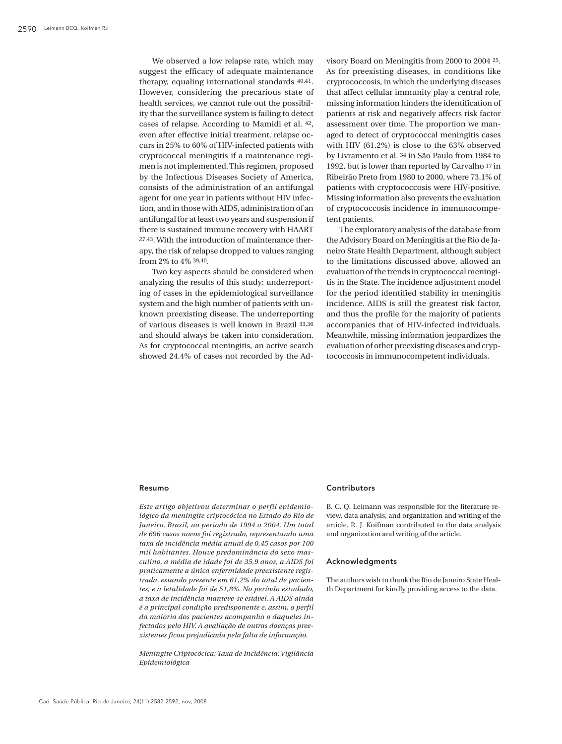We observed a low relapse rate, which may suggest the efficacy of adequate maintenance therapy, equaling international standards 40,41. However, considering the precarious state of health services, we cannot rule out the possibility that the surveillance system is failing to detect cases of relapse. According to Mamidi et al. 42, even after effective initial treatment, relapse occurs in 25% to 60% of HIV-infected patients with cryptococcal meningitis if a maintenance regimen is not implemented. This regimen, proposed by the Infectious Diseases Society of America, consists of the administration of an antifungal agent for one year in patients without HIV infection, and in those with AIDS, administration of an antifungal for at least two years and suspension if there is sustained immune recovery with HAART 27,43. With the introduction of maintenance therapy, the risk of relapse dropped to values ranging from 2% to 4% 39,40.

Two key aspects should be considered when analyzing the results of this study: underreporting of cases in the epidemiological surveillance system and the high number of patients with unknown preexisting disease. The underreporting of various diseases is well known in Brazil 33,36 and should always be taken into consideration. As for cryptococcal meningitis, an active search showed 24.4% of cases not recorded by the Advisory Board on Meningitis from 2000 to 2004 25. As for preexisting diseases, in conditions like cryptococcosis, in which the underlying diseases that affect cellular immunity play a central role, missing information hinders the identification of patients at risk and negatively affects risk factor assessment over time. The proportion we managed to detect of cryptococcal meningitis cases with HIV (61.2%) is close to the 63% observed by Livramento et al. 34 in São Paulo from 1984 to 1992, but is lower than reported by Carvalho 17 in Ribeirão Preto from 1980 to 2000, where 73.1% of patients with cryptococcosis were HIV-positive. Missing information also prevents the evaluation of cryptococcosis incidence in immunocompetent patients.

The exploratory analysis of the database from the Advisory Board on Meningitis at the Rio de Janeiro State Health Department, although subject to the limitations discussed above, allowed an evaluation of the trends in cryptococcal meningitis in the State. The incidence adjustment model for the period identified stability in meningitis incidence. AIDS is still the greatest risk factor, and thus the profile for the majority of patients accompanies that of HIV-infected individuals. Meanwhile, missing information jeopardizes the evaluation of other preexisting diseases and cryptococcosis in immunocompetent individuals.

### Resumo

*Este artigo objetivou determinar o perfil epidemiológico da meningite criptocócica no Estado do Rio de Janeiro, Brasil, no período de 1994 a 2004. Um total de 696 casos novos foi registrado, representando uma taxa de incidência média anual de 0,45 casos por 100 mil habitantes. Houve predominância do sexo masculino, a média de idade foi de 35,9 anos, a AIDS foi praticamente a única enfermidade preexistente registrada, estando presente em 61,2% do total de pacientes, e a letalidade foi de 51,8%. No período estudado, a taxa de incidência manteve-se estável. A AIDS ainda é a principal condição predisponente e, assim, o perfil da maioria dos pacientes acompanha o daqueles infectados pelo HIV. A avaliação de outras doenças preexistentes ficou prejudicada pela falta de informação.*

*Meningite Criptocócica; Taxa de Incidência; Vigilância Epidemiológica*

### **Contributors**

B. C. Q. Leimann was responsible for the literature review, data analysis, and organization and writing of the article. R. J. Koifman contributed to the data analysis and organization and writing of the article.

### Acknowledgments

The authors wish to thank the Rio de Janeiro State Health Department for kindly providing access to the data.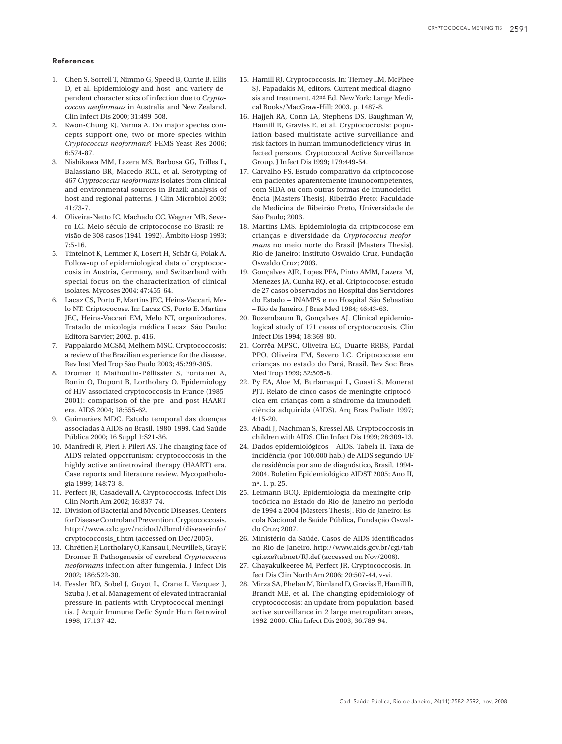## **References**

- 1. Chen S, Sorrell T, Nimmo G, Speed B, Currie B, Ellis D, et al. Epidemiology and host- and variety-dependent characteristics of infection due to *Cryptococcus neoformans* in Australia and New Zealand. Clin Infect Dis 2000; 31:499-508.
- 2. Kwon-Chung KJ, Varma A. Do major species concepts support one, two or more species within *Cryptococcus neoformans*? FEMS Yeast Res 2006; 6:574-87.
- 3. Nishikawa MM, Lazera MS, Barbosa GG, Trilles L, Balassiano BR, Macedo RCL, et al. Serotyping of 467 *Cryptococcus neoformans* isolates from clinical and environmental sources in Brazil: analysis of host and regional patterns. J Clin Microbiol 2003; 41:73-7.
- 4. Oliveira-Netto IC, Machado CC, Wagner MB, Severo LC. Meio século de criptococose no Brasil: revisão de 308 casos (1941-1992). Âmbito Hosp 1993; 7:5-16.
- 5. Tintelnot K, Lemmer K, Losert H, Schär G, Polak A. Follow-up of epidemiological data of cryptococcosis in Austria, Germany, and Switzerland with special focus on the characterization of clinical isolates. Mycoses 2004; 47:455-64.
- 6. Lacaz CS, Porto E, Martins JEC, Heins-Vaccari, Melo NT. Criptococose. In: Lacaz CS, Porto E, Martins JEC, Heins-Vaccari EM, Melo NT, organizadores. Tratado de micologia médica Lacaz. São Paulo: Editora Sarvier; 2002. p. 416.
- 7. Pappalardo MCSM, Melhem MSC. Cryptococcosis: a review of the Brazilian experience for the disease. Rev Inst Med Trop São Paulo 2003; 45:299-305.
- 8. Dromer F, Mathoulin-Péllissier S, Fontanet A, Ronin O, Dupont B, Lortholary O. Epidemiology of HIV-associated cryptococcosis in France (1985- 2001): comparison of the pre- and post-HAART era. AIDS 2004; 18:555-62.
- 9. Guimarães MDC. Estudo temporal das doenças associadas à AIDS no Brasil, 1980-1999. Cad Saúde Pública 2000; 16 Suppl 1:S21-36.
- 10. Manfredi R, Pieri F, Pileri AS. The changing face of AIDS related opportunism: cryptococcosis in the highly active antiretroviral therapy (HAART) era. Case reports and literature review. Mycopathologia 1999; 148:73-8.
- 11. Perfect JR, Casadevall A. Cryptococcosis. Infect Dis Clin North Am 2002; 16:837-74.
- 12. Division of Bacterial and Mycotic Diseases, Centers for Disease Control and Prevention. Cryptococcosis. http://www.cdc.gov/ncidod/dbmd/diseaseinfo/ cryptococcosis\_t.htm (accessed on Dec/2005).
- 13. Chrétien F, Lortholary O, Kansau I, Neuville S, Gray F, Dromer F. Pathogenesis of cerebral *Cryptococcus neoformans* infection after fungemia. J Infect Dis 2002; 186:522-30.
- 14. Fessler RD, Sobel J, Guyot L, Crane L, Vazquez J, Szuba J, et al. Management of elevated intracranial pressure in patients with Cryptococcal meningitis. J Acquir Immune Defic Syndr Hum Retrovirol 1998; 17:137-42.
- 15. Hamill RJ. Cryptococcosis. In: Tierney LM, McPhee SJ, Papadakis M, editors. Current medical diagnosis and treatment. 42nd Ed. New York: Lange Medical Books/MacGraw-Hill; 2003. p. 1487-8.
- 16. Hajjeh RA, Conn LA, Stephens DS, Baughman W, Hamill R, Graviss E, et al. Cryptococcosis: population-based multistate active surveillance and risk factors in human immunodeficiency virus-infected persons. Cryptococcal Active Surveillance Group. J Infect Dis 1999; 179:449-54.
- 17. Carvalho FS. Estudo comparativo da criptococose em pacientes aparentemente imunocompetentes, com SIDA ou com outras formas de imunodeficiência [Masters Thesis]. Ribeirão Preto: Faculdade de Medicina de Ribeirão Preto, Universidade de São Paulo; 2003.
- 18. Martins LMS. Epidemiologia da criptococose em crianças e diversidade da *Cryptococcus neoformans* no meio norte do Brasil [Masters Thesis]. Rio de Janeiro: Instituto Oswaldo Cruz, Fundação Oswaldo Cruz; 2003.
- 19. Gonçalves AJR, Lopes PFA, Pinto AMM, Lazera M, Menezes JA, Cunha RQ, et al. Criptococose: estudo de 27 casos observados no Hospital dos Servidores do Estado – INAMPS e no Hospital São Sebastião – Rio de Janeiro. J Bras Med 1984; 46:43-63.
- 20. Rozembaum R, Gonçalves AJ. Clinical epidemiological study of 171 cases of cryptococcosis. Clin Infect Dis 1994; 18:369-80.
- 21. Corrêa MPSC, Oliveira EC, Duarte RRBS, Pardal PPO, Oliveira FM, Severo LC. Criptococose em crianças no estado do Pará, Brasil. Rev Soc Bras Med Trop 1999; 32:505-8.
- 22. Py EA, Aloe M, Burlamaqui L, Guasti S, Monerat PJT. Relato de cinco casos de meningite criptocócica em crianças com a síndrome da imunodeficiência adquirida (AIDS). Arq Bras Pediatr 1997; 4:15-20.
- 23. Abadi J, Nachman S, Kressel AB. Cryptococcosis in children with AIDS. Clin Infect Dis 1999; 28:309-13.
- 24. Dados epidemiológicos AIDS. Tabela II. Taxa de incidência (por 100.000 hab.) de AIDS segundo UF de residência por ano de diagnóstico, Brasil, 1994- 2004. Boletim Epidemiológico AIDST 2005; Ano II, nº. 1. p. 25.
- 25. Leimann BCQ. Epidemiologia da meningite criptocócica no Estado do Rio de Janeiro no período de 1994 a 2004 [Masters Thesis]. Rio de Janeiro: Escola Nacional de Saúde Pública, Fundação Oswaldo Cruz; 2007.
- 26. Ministério da Saúde. Casos de AIDS identificados no Rio de Janeiro. http://www.aids.gov.br/cgi/tab cgi.exe?tabnet/RJ.def (accessed on Nov/2006).
- 27. Chayakulkeeree M, Perfect JR. Cryptococcosis. Infect Dis Clin North Am 2006; 20:507-44, v-vi.
- 28. Mirza SA, Phelan M, Rimland D, Graviss E, Hamill R, Brandt ME, et al. The changing epidemiology of cryptococcosis: an update from population-based active surveillance in 2 large metropolitan areas, 1992-2000. Clin Infect Dis 2003; 36:789-94.